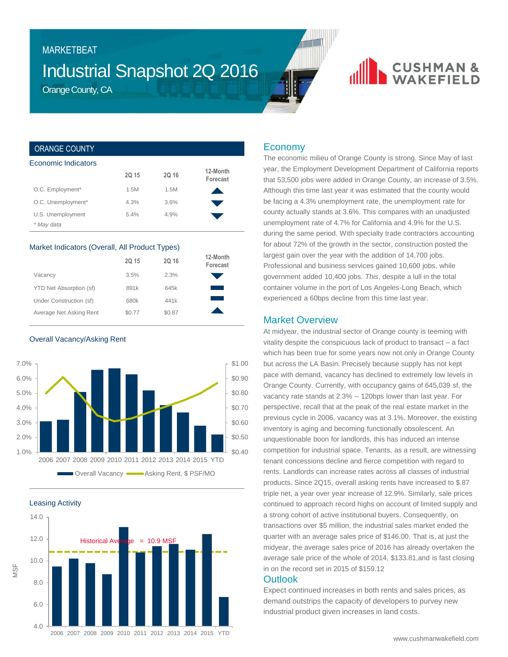# Industrial Snapshot 2Q 2016

Orange County, CA

MARKETBEAT

# **CUSHMAN &**

#### ORANGE COUNTY

| Economic Indicators             |       |       |                      |
|---------------------------------|-------|-------|----------------------|
|                                 | 2Q 15 | 2Q 16 | 12-Month<br>Forecast |
| O.C. Employment*                | 1.5M  | 1.5M  |                      |
| O.C. Unemployment*              | 4.3%  | 3.6%  |                      |
| U.S. Unemployment<br>* May data | 5.4%  | 4.9%  |                      |

#### Market Indicators (Overall, All Product Types)

|                         | 2Q 15  | 2Q 16  | 12-Month<br>Forecast |
|-------------------------|--------|--------|----------------------|
| Vacancy                 | 3.5%   | 2.3%   |                      |
| YTD Net Absorption (sf) | 891k   | 645k   |                      |
| Under Construction (sf) | 680k   | 441k   |                      |
| Average Net Asking Rent | \$0.77 | \$0.87 |                      |

Overall Vacancy/Asking Rent



Leasing Activity

MSF



### Economy

The economic milieu of Orange County is strong. Since May of last year, the Employment Development Department of California reports that 53,500 jobs were added in Orange County, an increase of 3.5%. Although this time last year it was estimated that the county would be facing a 4.3% unemployment rate, the unemployment rate for county actually stands at 3.6%. This compares with an unadjusted unemployment rate of 4.7% for California and 4.9% for the U.S. during the same period. With specialty trade contractors accounting for about 72% of the growth in the sector, construction posted the largest gain over the year with the addition of 14,700 jobs. Professional and business services gained 10,600 jobs, while government added 10,400 jobs. *This*, despite a lull in the total container volume in the port of Los Angeles-Long Beach, which experienced a 60bps decline from this time last year.

## Market Overview

At midyear, the industrial sector of Orange county is teeming with vitality despite the conspicuous lack of product to transact – a fact which has been true for some years now not only in Orange County but across the LA Basin. Precisely because supply has not kept pace with demand, vacancy has declined to extremely low levels in Orange County. Currently, with occupancy gains of 645,039 sf, the vacancy rate stands at 2.3% -- 120bps lower than last year. For perspective, recall that at the peak of the real estate market in the previous cycle in 2006, vacancy was at 3.1%. Moreover, the existing inventory is aging and becoming functionally obsolescent. An unquestionable boon for landlords, this has induced an intense competition for industrial space. Tenants, as a result, are witnessing tenant concessions decline and fierce competition with regard to rents. Landlords can increase rates across all classes of industrial products. Since 2Q15, overall asking rents have increased to \$.87 triple net, a year over year increase of 12.9%. Similarly, sale prices continued to approach record highs on account of limited supply and a strong cohort of active institutional buyers. Consequently, on transactions over \$5 million, the industrial sales market ended the quarter with an average sales price of \$146.00. That is, at just the midyear, the average sales price of 2016 has already overtaken the average sale price of the whole of 2014, \$133.81,and is fast closing in on the record set in 2015 of \$159.12

### **Outlook**

Expect continued increases in both rents and sales prices, as demand outstrips the capacity of developers to purvey new industrial product given increases in land costs.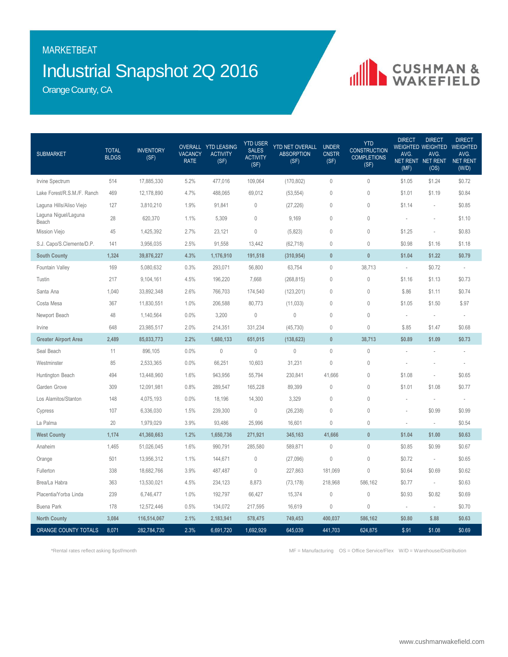## Industrial Snapshot 2Q 2016 MARKETBEAT

CUSHMAN &

Orange County, CA

| <b>SUBMARKET</b>              | <b>TOTAL</b><br><b>BLDGS</b> | <b>INVENTORY</b><br>(SF) | <b>VACANCY</b><br><b>RATE</b> | OVERALL YTD LEASING<br><b>ACTIVITY</b><br>(SF) | <b>YTD USER</b><br><b>SALES</b><br><b>ACTIVITY</b><br>(SF) | YTD NET OVERALL<br><b>ABSORPTION</b><br>(SF) | <b>UNDER</b><br><b>CNSTR</b><br>(SF) | <b>YTD</b><br><b>CONSTRUCTION</b><br><b>COMPLETIONS</b><br>(SF) | <b>DIRECT</b><br>AVG.<br>(MF) | <b>DIRECT</b><br><b>WEIGHTED WEIGHTED</b><br>AVG.<br>NET RENT NET RENT<br>(OS) | <b>DIRECT</b><br><b>WEIGHTED</b><br>AVG.<br>NET RENT<br>(W/D) |
|-------------------------------|------------------------------|--------------------------|-------------------------------|------------------------------------------------|------------------------------------------------------------|----------------------------------------------|--------------------------------------|-----------------------------------------------------------------|-------------------------------|--------------------------------------------------------------------------------|---------------------------------------------------------------|
| Irvine Spectrum               | 514                          | 17,885,330               | 5.2%                          | 477,016                                        | 109,064                                                    | (170, 802)                                   | $\mathbf 0$                          | 0                                                               | \$1.05                        | \$1.24                                                                         | \$0.72                                                        |
| Lake Forest/R.S.M./F. Ranch   | 469                          | 12,178,890               | 4.7%                          | 488,065                                        | 69,012                                                     | (53, 554)                                    | $\mathbb O$                          | 0                                                               | \$1.01                        | \$1.19                                                                         | \$0.84                                                        |
| Laguna Hills/Aliso Viejo      | 127                          | 3,810,210                | 1.9%                          | 91,841                                         | $\mathbb O$                                                | (27, 226)                                    | $\mathbb O$                          | 0                                                               | \$1.14                        | $\overline{\phantom{a}}$                                                       | \$0.85                                                        |
| Laguna Niguel/Laguna<br>Beach | 28                           | 620,370                  | 1.1%                          | 5,309                                          | $\mathbf 0$                                                | 9,169                                        | $\mathbf 0$                          | $\mathbf 0$                                                     | ÷                             | i,                                                                             | \$1.10                                                        |
| Mission Viejo                 | 45                           | 1,425,392                | 2.7%                          | 23,121                                         | $\theta$                                                   | (5,823)                                      | $\mathbf 0$                          | 0                                                               | \$1.25                        | ä,                                                                             | \$0.83                                                        |
| S.J. Capo/S.Clemente/D.P.     | 141                          | 3,956,035                | 2.5%                          | 91,558                                         | 13,442                                                     | (62, 718)                                    | 0                                    | 0                                                               | \$0.98                        | \$1.16                                                                         | \$1.18                                                        |
| <b>South County</b>           | 1,324                        | 39,876,227               | 4.3%                          | 1,176,910                                      | 191,518                                                    | (310, 954)                                   | $\mathbf{0}$                         | $\bf{0}$                                                        | \$1.04                        | \$1.22                                                                         | \$0.79                                                        |
| Fountain Valley               | 169                          | 5,080,632                | 0.3%                          | 293,071                                        | 56,800                                                     | 63,754                                       | $\mathbf 0$                          | 38,713                                                          | ÷,                            | \$0.72                                                                         | $\overline{\phantom{a}}$                                      |
| Tustin                        | 217                          | 9,104,161                | 4.5%                          | 196,220                                        | 7,668                                                      | (268, 815)                                   | $\mathbf 0$                          | 0                                                               | \$1.16                        | \$1.13                                                                         | \$0.73                                                        |
| Santa Ana                     | 1,040                        | 33,892,348               | 2.6%                          | 766,703                                        | 174,540                                                    | (123, 201)                                   | $\mathbf 0$                          | $\mathbf 0$                                                     | \$.86                         | \$1.11                                                                         | \$0.74                                                        |
| Costa Mesa                    | 367                          | 11,830,551               | 1.0%                          | 206,588                                        | 80,773                                                     | (11,033)                                     | $\theta$                             | $\mathbf 0$                                                     | \$1.05                        | \$1.50                                                                         | \$.97                                                         |
| Newport Beach                 | 48                           | 1,140,564                | 0.0%                          | 3,200                                          | $\mathbb O$                                                | $\mathbb O$                                  | $\mathbf 0$                          | 0                                                               | $\sim$                        | ×.                                                                             | ٠                                                             |
| Irvine                        | 648                          | 23,985,517               | 2.0%                          | 214,351                                        | 331,234                                                    | (45, 730)                                    | $\mathbf 0$                          | 0                                                               | \$.85                         | \$1.47                                                                         | \$0.68                                                        |
| <b>Greater Airport Area</b>   | 2,489                        | 85,033,773               | 2.2%                          | 1,680,133                                      | 651,015                                                    | (138, 623)                                   | $\pmb{0}$                            | 38,713                                                          | \$0.89                        | \$1.09                                                                         | \$0.73                                                        |
| Seal Beach                    | 11                           | 896,105                  | 0.0%                          | $\mathbf{0}$                                   | $\mathbb O$                                                | $\mathbb O$                                  | $\mathbf 0$                          | 0                                                               |                               |                                                                                |                                                               |
| Westminster                   | 85                           | 2,533,365                | 0.0%                          | 66,251                                         | 10,603                                                     | 31,231                                       | $\mathbf 0$                          | 0                                                               |                               |                                                                                |                                                               |
| Huntington Beach              | 494                          | 13,448,960               | 1.6%                          | 943,956                                        | 55,794                                                     | 230,841                                      | 41,666                               | $\mathbf 0$                                                     | \$1.08                        | ä,                                                                             | \$0.65                                                        |
| Garden Grove                  | 309                          | 12,091,981               | 0.8%                          | 289,547                                        | 165,228                                                    | 89,399                                       | $\mathbf 0$                          | 0                                                               | \$1.01                        | \$1.08                                                                         | \$0.77                                                        |
| Los Alamitos/Stanton          | 148                          | 4,075,193                | 0.0%                          | 18,196                                         | 14,300                                                     | 3,329                                        | $\mathbf{0}$                         | $\mathbf{0}$                                                    | $\sim$                        | $\overline{\phantom{a}}$                                                       | ٠                                                             |
| Cypress                       | 107                          | 6,336,030                | 1.5%                          | 239,300                                        | $\mathbb O$                                                | (26, 238)                                    | 0                                    | 0                                                               |                               | \$0.99                                                                         | \$0.99                                                        |
| La Palma                      | 20                           | 1,979,029                | 3.9%                          | 93,486                                         | 25,996                                                     | 16,601                                       | 0                                    | 0                                                               | ×,                            | $\overline{\phantom{a}}$                                                       | \$0.54                                                        |
| <b>West County</b>            | 1,174                        | 41,360,663               | 1.2%                          | 1,650,736                                      | 271,921                                                    | 345,163                                      | 41,666                               | $\mathbf{0}$                                                    | \$1.04                        | \$1.00                                                                         | \$0.63                                                        |
| Anaheim                       | 1,465                        | 51,026,045               | 1.6%                          | 990,791                                        | 285,580                                                    | 589,871                                      | $\mathbf 0$                          | 0                                                               | \$0.85                        | \$0.99                                                                         | \$0.67                                                        |
| Orange                        | 501                          | 13,956,312               | 1.1%                          | 144,671                                        | $\mathbb O$                                                | (27,096)                                     | $\mathbf 0$                          | 0                                                               | \$0.72                        | $\sim$                                                                         | \$0.65                                                        |
| Fullerton                     | 338                          | 18,682,766               | 3.9%                          | 487,487                                        | $\mathbf{0}$                                               | 227,863                                      | 181,069                              | 0                                                               | \$0.64                        | \$0.69                                                                         | \$0.62                                                        |
| Brea/La Habra                 | 363                          | 13,530,021               | 4.5%                          | 234,123                                        | 8,873                                                      | (73, 178)                                    | 218,968                              | 586,162                                                         | \$0.77                        | $\overline{\phantom{a}}$                                                       | \$0.63                                                        |
| Placentia/Yorba Linda         | 239                          | 6,746,477                | 1.0%                          | 192,797                                        | 66,427                                                     | 15,374                                       | 0                                    | 0                                                               | \$0.93                        | \$0.82                                                                         | \$0.69                                                        |
| <b>Buena Park</b>             | 178                          | 12,572,446               | 0.5%                          | 134,072                                        | 217,595                                                    | 16,619                                       | $\mathbb O$                          | 0                                                               | $\overline{\phantom{a}}$      | $\overline{\phantom{a}}$                                                       | \$0.70                                                        |
| <b>North County</b>           | 3,084                        | 116,514,067              | 2.1%                          | 2,183,941                                      | 578,475                                                    | 749,453                                      | 400,037                              | 586,162                                                         | \$0.80                        | \$.88                                                                          | \$0.63                                                        |
| ORANGE COUNTY TOTALS          | 8,071                        | 282,784,730              | 2.3%                          | 6,691,720                                      | 1,692,929                                                  | 645,039                                      | 441,703                              | 624,875                                                         | \$.91                         | \$1.08                                                                         | \$0.69                                                        |

\*Rental rates reflect asking \$psf/month MF = Manufacturing OS = Office Service/Flex W/D = Warehouse/Distribution